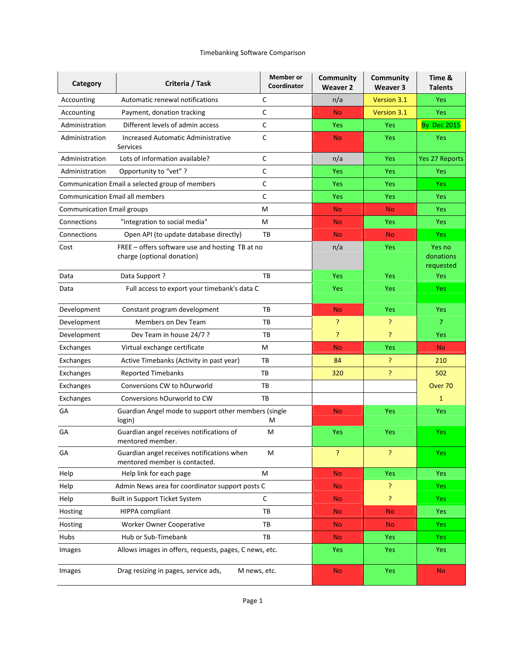| Category                          | Criteria / Task                                                               | <b>Member</b> or<br>Coordinator | Community<br><b>Weaver 2</b> | Community<br>Weaver 3 | Time &<br><b>Talents</b>         |
|-----------------------------------|-------------------------------------------------------------------------------|---------------------------------|------------------------------|-----------------------|----------------------------------|
| Accounting                        | Automatic renewal notifications                                               | C                               | n/a                          | Version 3.1           | Yes                              |
| Accounting                        | Payment, donation tracking                                                    | C                               | <b>No</b>                    | Version 3.1           | Yes                              |
| Administration                    | Different levels of admin access                                              | C                               | <b>Yes</b>                   | Yes                   | <b>By Dec 2015</b>               |
| Administration                    | Increased Automatic Administrative<br>Services                                | C                               | <b>No</b>                    | Yes                   | Yes                              |
| Administration                    | Lots of information available?                                                | C                               | n/a                          | Yes                   | Yes 27 Reports                   |
| Administration                    | Opportunity to "vet" ?                                                        | C                               | <b>Yes</b>                   | Yes                   | <b>Yes</b>                       |
|                                   | Communication Email a selected group of members                               | C                               | <b>Yes</b>                   | Yes                   | Yes                              |
|                                   | <b>Communication Email all members</b>                                        | C                               | <b>Yes</b>                   | Yes                   | Yes                              |
| <b>Communication Email groups</b> |                                                                               | M                               | <b>No</b>                    | <b>No</b>             | <b>Yes</b>                       |
| Connections                       | "integration to social media"                                                 | M                               | <b>No</b>                    | Yes                   | Yes                              |
| Connections                       | Open API (to update database directly)                                        | ТB                              | <b>No</b>                    | <b>No</b>             | <b>Yes</b>                       |
| Cost                              | FREE - offers software use and hosting TB at no<br>charge (optional donation) |                                 | n/a                          | Yes                   | Yes no<br>donations<br>requested |
| Data                              | Pata Support?                                                                 | TB                              | Yes                          | Yes                   | Yes                              |
| Data                              | Full access to export your timebank's data C                                  |                                 | <b>Yes</b>                   | Yes                   | <b>Yes</b>                       |
| Development                       | Constant program development                                                  | ТB                              | <b>No</b>                    | Yes                   | <b>Yes</b>                       |
| Development                       | Members on Dev Team                                                           | TB                              | P                            | Ś.                    | $\overline{7}$                   |
| Development                       | Dev Team in house 24/7 ?                                                      | ТB                              | P                            | ?                     | Yes                              |
| Exchanges                         | Virtual exchange certificate                                                  | М                               | <b>No</b>                    | Yes                   | <b>No</b>                        |
| Exchanges                         | Active Timebanks (Activity in past year)                                      | TB                              | 84                           | ?                     | 210                              |
| Exchanges                         | Reported Timebanks                                                            | TB                              | 320                          | P                     | 502                              |
| Exchanges                         | Conversions CW to hOurworld                                                   | TB                              |                              |                       | Over 70                          |
| Exchanges                         | Conversions hOurworld to CW                                                   | ТB                              |                              |                       | 1                                |
| GA                                | Guardian Angel mode to support other members (single<br>login)                | M                               | <b>No</b>                    | Yes                   | Yes                              |
| GA                                | Guardian angel receives notifications of<br>mentored member.                  | M                               | <b>Yes</b>                   | Yes                   | <b>Yes</b>                       |
| GA                                | Guardian angel receives notifications when<br>mentored member is contacted.   | M                               | 5                            | P                     | <b>Yes</b>                       |
| Help                              | Help link for each page                                                       | M                               | <b>No</b>                    | <b>Yes</b>            | Yes                              |
| Help                              | Admin News area for coordinator support posts C                               |                                 | <b>No</b>                    | Ś.                    | <b>Yes</b>                       |
| Help                              | Built in Support Ticket System                                                | C                               | <b>No</b>                    | P                     | <b>Yes</b>                       |
| <b>Hosting</b>                    | HIPPA compliant                                                               | TB                              | <b>No</b>                    | <b>No</b>             | Yes                              |
| Hosting                           | <b>Worker Owner Cooperative</b>                                               | ТB                              | <b>No</b>                    | <b>No</b>             | <b>Yes</b>                       |
| Hubs                              | Hub or Sub-Timebank                                                           | ТB                              | <b>No</b>                    | Yes                   | Yes                              |
| Images                            | Allows images in offers, requests, pages, C news, etc.                        |                                 | <b>Yes</b>                   | Yes                   | Yes                              |
| Images                            | Drag resizing in pages, service ads,<br>M news, etc.                          |                                 | <b>No</b>                    | <b>Yes</b>            | <b>No</b>                        |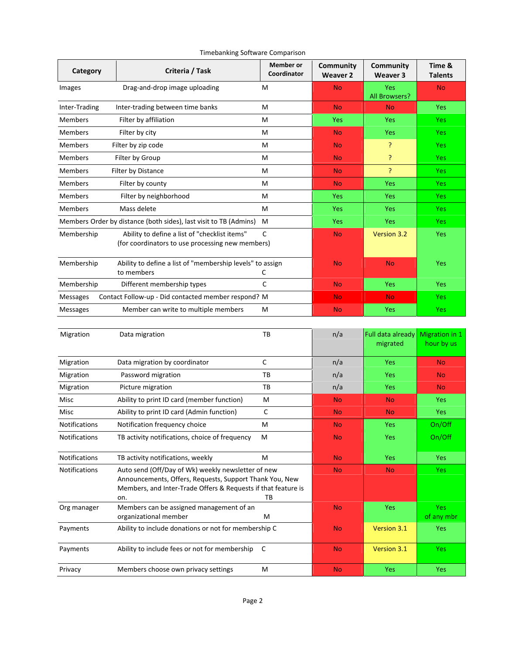| Category             | Criteria / Task                                                                                                                                                                       | <b>Member</b> or<br>Coordinator | Community<br><b>Weaver 2</b> | Community<br>Weaver 3         | Time &<br><b>Talents</b>            |
|----------------------|---------------------------------------------------------------------------------------------------------------------------------------------------------------------------------------|---------------------------------|------------------------------|-------------------------------|-------------------------------------|
| Images               | Drag-and-drop image uploading                                                                                                                                                         | м                               | <b>No</b>                    | Yes<br>All Browsers?          | <b>No</b>                           |
| Inter-Trading        | Inter-trading between time banks                                                                                                                                                      | м                               | <b>No</b>                    | <b>No</b>                     | <b>Yes</b>                          |
| <b>Members</b>       | Filter by affiliation                                                                                                                                                                 | M                               | Yes                          | Yes                           | Yes                                 |
| <b>Members</b>       | Filter by city                                                                                                                                                                        | М                               | <b>No</b>                    | <b>Yes</b>                    | <b>Yes</b>                          |
| <b>Members</b>       | Filter by zip code                                                                                                                                                                    | М                               | <b>No</b>                    | ş.                            | <b>Yes</b>                          |
| <b>Members</b>       | Filter by Group                                                                                                                                                                       | M                               | <b>No</b>                    | 5                             | Yes                                 |
| <b>Members</b>       | Filter by Distance                                                                                                                                                                    | м                               | <b>No</b>                    | P                             | Yes                                 |
| <b>Members</b>       | Filter by county                                                                                                                                                                      | м                               | <b>No</b>                    | Yes                           | Yes                                 |
| <b>Members</b>       | Filter by neighborhood                                                                                                                                                                | М                               | Yes                          | Yes                           | Yes                                 |
| <b>Members</b>       | Mass delete                                                                                                                                                                           | М                               | Yes                          | Yes                           | Yes                                 |
|                      | Members Order by distance (both sides), last visit to TB (Admins)                                                                                                                     | M                               | Yes                          | <b>Yes</b>                    | Yes                                 |
| Membership           | Ability to define a list of "checklist items"<br>(for coordinators to use processing new members)                                                                                     | C                               | <b>No</b>                    | <b>Version 3.2</b>            | <b>Yes</b>                          |
| Membership           | Ability to define a list of "membership levels" to assign<br>to members                                                                                                               | C                               | <b>No</b>                    | <b>No</b>                     | <b>Yes</b>                          |
| Membership           | Different membership types                                                                                                                                                            | С                               | <b>No</b>                    | <b>Yes</b>                    | Yes                                 |
| <b>Messages</b>      | Contact Follow-up - Did contacted member respond? M                                                                                                                                   |                                 | <b>No</b>                    | <b>No</b>                     | <b>Yes</b>                          |
| Messages             | Member can write to multiple members                                                                                                                                                  | М                               | <b>No</b>                    | Yes                           | <b>Yes</b>                          |
|                      |                                                                                                                                                                                       |                                 |                              |                               |                                     |
| Migration            | Data migration                                                                                                                                                                        | ТB                              | n/a                          | Full data already<br>migrated | <b>Migration in 1</b><br>hour by us |
| Migration            | Data migration by coordinator                                                                                                                                                         | C                               | n/a                          | Yes                           | <b>No</b>                           |
| Migration            | Password migration                                                                                                                                                                    | ТB                              | n/a                          | <b>Yes</b>                    | No                                  |
| Migration            | Picture migration                                                                                                                                                                     | TB                              | n/a                          | Yes                           | <b>No</b>                           |
| Misc                 | Ability to print ID card (member function)                                                                                                                                            | М                               | <b>No</b>                    | <b>No</b>                     | Yes                                 |
| Misc                 | Ability to print ID card (Admin function)                                                                                                                                             | C                               | <b>No</b>                    | <b>No</b>                     | <b>Yes</b>                          |
| <b>Notifications</b> | Notification frequency choice                                                                                                                                                         | м                               | <b>No</b>                    | <b>Yes</b>                    | On/Off                              |
| <b>Notifications</b> | TB activity notifications, choice of frequency                                                                                                                                        | М                               | <b>No</b>                    | Yes                           | On/Off                              |
| <b>Notifications</b> | TB activity notifications, weekly                                                                                                                                                     | М                               | <b>No</b>                    | <b>Yes</b>                    | Yes                                 |
| Notifications        | Auto send (Off/Day of Wk) weekly newsletter of new<br>Announcements, Offers, Requests, Support Thank You, New<br>Members, and Inter-Trade Offers & Requests if that feature is<br>on. | TВ                              | <b>No</b>                    | <b>No</b>                     | <b>Yes</b>                          |
| Org manager          | Members can be assigned management of an<br>organizational member                                                                                                                     | М                               | <b>No</b>                    | Yes                           | <b>Yes</b><br>of any mbr            |
| Payments             | Ability to include donations or not for membership C                                                                                                                                  |                                 | <b>No</b>                    | Version 3.1                   | Yes                                 |
| Payments             | Ability to include fees or not for membership                                                                                                                                         | - C                             | <b>No</b>                    | Version 3.1                   | Yes                                 |
| Privacy              | Members choose own privacy settings                                                                                                                                                   | M                               | <b>No</b>                    | Yes                           | Yes                                 |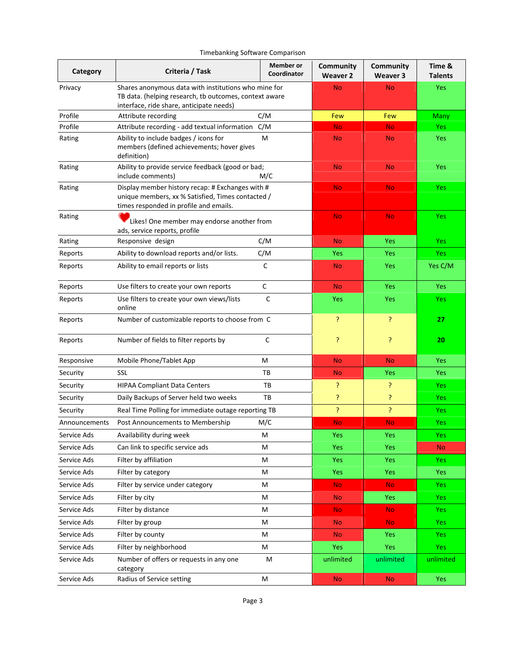| Timebanking Software Comparison |
|---------------------------------|
|---------------------------------|

| Category      | Criteria / Task                                                                                                                                            | <b>Member</b> or<br>Coordinator | <b>Community</b><br><b>Weaver 2</b> | <b>Community</b><br>Weaver 3 | Time &<br><b>Talents</b> |
|---------------|------------------------------------------------------------------------------------------------------------------------------------------------------------|---------------------------------|-------------------------------------|------------------------------|--------------------------|
| Privacy       | Shares anonymous data with institutions who mine for<br>TB data. (helping research, tb outcomes, context aware<br>interface, ride share, anticipate needs) |                                 | <b>No</b>                           | <b>No</b>                    | Yes                      |
| Profile       | Attribute recording                                                                                                                                        | C/M                             | Few                                 | Few                          | Many                     |
| Profile       | Attribute recording - add textual information                                                                                                              | C/M                             | <b>No</b>                           | <b>No</b>                    | <b>Yes</b>               |
| Rating        | Ability to include badges / icons for<br>members (defined achievements; hover gives<br>definition)                                                         | M                               | <b>No</b>                           | <b>No</b>                    | Yes                      |
| Rating        | Ability to provide service feedback (good or bad;<br>include comments)                                                                                     | M/C                             | <b>No</b>                           | <b>No</b>                    | Yes                      |
| Rating        | Display member history recap: # Exchanges with #<br>unique members, xx % Satisfied, Times contacted /<br>times responded in profile and emails.            |                                 | <b>No</b>                           | <b>No</b>                    | Yes                      |
| Rating        | Likes! One member may endorse another from<br>ads, service reports, profile                                                                                |                                 | <b>No</b>                           | <b>No</b>                    | Yes                      |
| Rating        | Responsive design                                                                                                                                          | C/M                             | <b>No</b>                           | Yes                          | Yes                      |
| Reports       | Ability to download reports and/or lists.                                                                                                                  | C/M                             | <b>Yes</b>                          | Yes                          | <b>Yes</b>               |
| Reports       | Ability to email reports or lists                                                                                                                          | C                               | <b>No</b>                           | Yes                          | Yes C/M                  |
| Reports       | Use filters to create your own reports                                                                                                                     | C                               | <b>No</b>                           | Yes                          | Yes                      |
| Reports       | Use filters to create your own views/lists<br>online                                                                                                       | C                               | <b>Yes</b>                          | Yes                          | Yes                      |
| Reports       | Number of customizable reports to choose from C                                                                                                            |                                 | P                                   | P                            | 27                       |
| Reports       | Number of fields to filter reports by                                                                                                                      | C                               | P                                   | ş.                           | 20                       |
| Responsive    | Mobile Phone/Tablet App                                                                                                                                    | M                               | <b>No</b>                           | <b>No</b>                    | Yes                      |
| Security      | <b>SSL</b>                                                                                                                                                 | ТB                              | <b>No</b>                           | Yes                          | <b>Yes</b>               |
| Security      | <b>HIPAA Compliant Data Centers</b>                                                                                                                        | TB                              | P                                   | 5                            | Yes                      |
| Security      | Daily Backups of Server held two weeks                                                                                                                     | ТB                              | Ŗ                                   | P                            | Yes                      |
| Security      | Real Time Polling for immediate outage reporting TB                                                                                                        |                                 | P                                   | P                            | Yes                      |
| Announcements | Post Announcements to Membership                                                                                                                           | M/C                             | <b>No</b>                           | <b>No</b>                    | Yes                      |
| Service Ads   | Availability during week                                                                                                                                   | м                               | <b>Yes</b>                          | Yes                          | Yes                      |
| Service Ads   | Can link to specific service ads                                                                                                                           | М                               | <b>Yes</b>                          | <b>Yes</b>                   | <b>No</b>                |
| Service Ads   | Filter by affiliation                                                                                                                                      | м                               | <b>Yes</b>                          | Yes                          | Yes                      |
| Service Ads   | Filter by category                                                                                                                                         | м                               | <b>Yes</b>                          | Yes                          | <b>Yes</b>               |
| Service Ads   | Filter by service under category                                                                                                                           | м                               | <b>No</b>                           | <b>No</b>                    | <b>Yes</b>               |
| Service Ads   | Filter by city                                                                                                                                             | м                               | <b>No</b>                           | Yes                          | Yes                      |
| Service Ads   | Filter by distance                                                                                                                                         | M                               | <b>No</b>                           | No.                          | Yes                      |
| Service Ads   | Filter by group                                                                                                                                            | M                               | <b>No</b>                           | No.                          | <b>Yes</b>               |
| Service Ads   | Filter by county                                                                                                                                           | M                               | <b>No</b>                           | <b>Yes</b>                   | Yes                      |
| Service Ads   | Filter by neighborhood                                                                                                                                     | M                               | <b>Yes</b>                          | Yes                          | Yes                      |
| Service Ads   | Number of offers or requests in any one<br>category                                                                                                        | M                               | unlimited                           | unlimited                    | unlimited                |
| Service Ads   | Radius of Service setting                                                                                                                                  | M                               | <b>No</b>                           | <b>No</b>                    | Yes                      |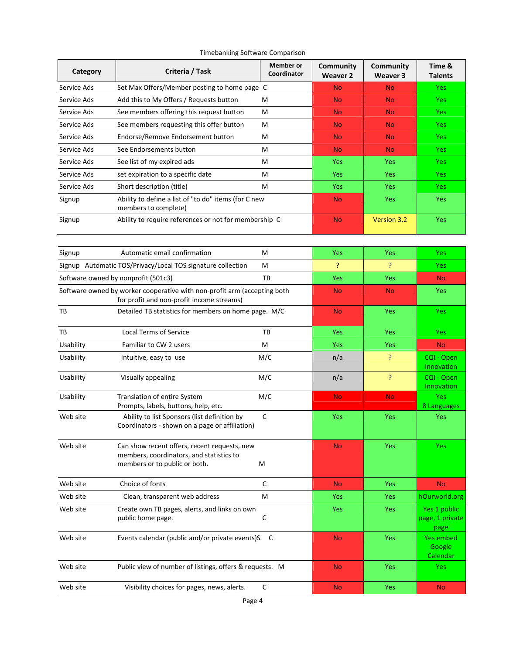| Category    | Criteria / Task                                                                                                           | <b>Member</b> or<br>Coordinator | Community<br><b>Weaver 2</b> | Community<br>Weaver 3 | Time &<br><b>Talents</b>                |
|-------------|---------------------------------------------------------------------------------------------------------------------------|---------------------------------|------------------------------|-----------------------|-----------------------------------------|
| Service Ads | Set Max Offers/Member posting to home page C                                                                              |                                 | <b>No</b>                    | <b>No</b>             | Yes                                     |
| Service Ads | Add this to My Offers / Requests button                                                                                   | м                               | <b>No</b>                    | <b>No</b>             | Yes                                     |
| Service Ads | See members offering this request button                                                                                  | м                               | <b>No</b>                    | <b>No</b>             | <b>Yes</b>                              |
| Service Ads | See members requesting this offer button                                                                                  | м                               | <b>No</b>                    | <b>No</b>             | <b>Yes</b>                              |
| Service Ads | Endorse/Remove Endorsement button                                                                                         | м                               | <b>No</b>                    | <b>No</b>             | <b>Yes</b>                              |
| Service Ads | See Endorsements button                                                                                                   | м                               | N <sub>o</sub>               | <b>No</b>             | Yes                                     |
| Service Ads | See list of my expired ads                                                                                                | м                               | Yes                          | <b>Yes</b>            | Yes                                     |
| Service Ads | set expiration to a specific date                                                                                         | м                               | Yes                          | <b>Yes</b>            | <b>Yes</b>                              |
| Service Ads | Short description (title)                                                                                                 | M                               | Yes                          | Yes                   | Yes                                     |
| Signup      | Ability to define a list of "to do" items (for C new<br>members to complete)                                              |                                 | <b>No</b>                    | <b>Yes</b>            | Yes                                     |
| Signup      | Ability to require references or not for membership C                                                                     |                                 | <b>No</b>                    | <b>Version 3.2</b>    | <b>Yes</b>                              |
| Signup      | Automatic email confirmation                                                                                              | м                               | Yes                          | <b>Yes</b>            | Yes                                     |
|             | Signup Automatic TOS/Privacy/Local TOS signature collection                                                               | м                               | 5                            | Ŗ                     | Yes                                     |
|             | Software owned by nonprofit (501c3)                                                                                       | TB                              | Yes                          | <b>Yes</b>            | <b>No</b>                               |
|             | Software owned by worker cooperative with non-profit arm (accepting both<br>for profit and non-profit income streams)     |                                 | <b>No</b>                    | <b>No</b>             | Yes                                     |
| TB          | Detailed TB statistics for members on home page. M/C                                                                      |                                 | <b>No</b>                    | Yes                   | Yes                                     |
| TB          | <b>Local Terms of Service</b>                                                                                             | TB                              | Yes                          | <b>Yes</b>            | Yes                                     |
| Usability   | Familiar to CW 2 users                                                                                                    | М                               | Yes                          | <b>Yes</b>            | <b>No</b>                               |
| Usability   | Intuitive, easy to use                                                                                                    | M/C                             | n/a                          | P                     | CQI - Open<br>Innovation                |
| Usability   | Visually appealing                                                                                                        | M/C                             | n/a                          | P                     | CQI - Open<br>Innovation                |
| Usability   | Translation of entire System<br>Prompts, labels, buttons, help, etc.                                                      | M/C                             | <b>No</b>                    | <b>No</b>             | <b>Yes</b><br>8 Languages               |
| Web site    | Ability to list Sponsors (list definition by<br>Coordinators - shown on a page or affiliation)                            | $\mathsf C$                     | Yes                          | Yes                   | Yes                                     |
| Web site    | Can show recent offers, recent requests, new<br>members, coordinators, and statistics to<br>members or to public or both. | М                               | <b>No</b>                    | Yes                   | <b>Yes</b>                              |
| Web site    | Choice of fonts                                                                                                           | $\mathsf{C}$                    | N <sub>o</sub>               | <b>Yes</b>            | <b>No</b>                               |
| Web site    | Clean, transparent web address                                                                                            | M                               | Yes                          | <b>Yes</b>            | hOurworld.org                           |
| Web site    | Create own TB pages, alerts, and links on own<br>public home page.                                                        | C                               | <b>Yes</b>                   | Yes                   | Yes 1 public<br>page, 1 private<br>page |
| Web site    | Events calendar (public and/or private events)S                                                                           | - C                             | <b>No</b>                    | Yes                   | Yes embed<br>Google<br>Calendar         |
| Web site    | Public view of number of listings, offers & requests. M                                                                   |                                 | <b>No</b>                    | <b>Yes</b>            | <b>Yes</b>                              |
| Web site    | Visibility choices for pages, news, alerts.                                                                               | C                               | <b>No</b>                    | Yes                   | <b>No</b>                               |